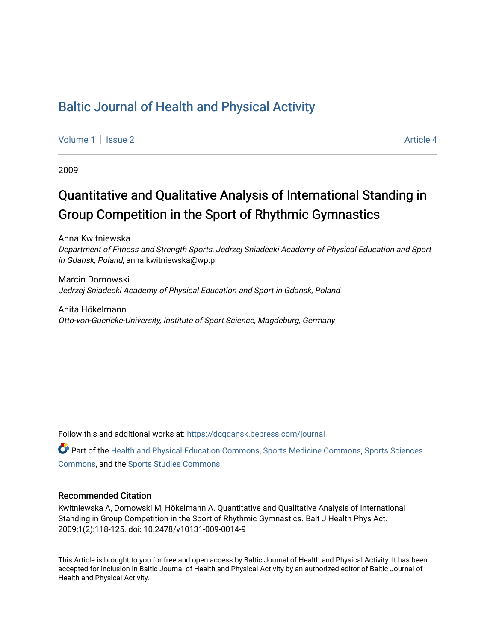## [Baltic Journal of Health and Physical Activity](https://dcgdansk.bepress.com/journal)

[Volume 1](https://dcgdansk.bepress.com/journal/vol1) | [Issue 2](https://dcgdansk.bepress.com/journal/vol1/iss2) Article 4

2009

# Quantitative and Qualitative Analysis of International Standing in Group Competition in the Sport of Rhythmic Gymnastics

Anna Kwitniewska Department of Fitness and Strength Sports, Jedrzej Sniadecki Academy of Physical Education and Sport in Gdansk, Poland, anna.kwitniewska@wp.pl

Marcin Dornowski Jedrzej Sniadecki Academy of Physical Education and Sport in Gdansk, Poland

Anita Hökelmann Otto-von-Guericke-University, Institute of Sport Science, Magdeburg, Germany

Follow this and additional works at: [https://dcgdansk.bepress.com/journal](https://dcgdansk.bepress.com/journal?utm_source=dcgdansk.bepress.com%2Fjournal%2Fvol1%2Fiss2%2F4&utm_medium=PDF&utm_campaign=PDFCoverPages)

Part of the [Health and Physical Education Commons](http://network.bepress.com/hgg/discipline/1327?utm_source=dcgdansk.bepress.com%2Fjournal%2Fvol1%2Fiss2%2F4&utm_medium=PDF&utm_campaign=PDFCoverPages), [Sports Medicine Commons,](http://network.bepress.com/hgg/discipline/1331?utm_source=dcgdansk.bepress.com%2Fjournal%2Fvol1%2Fiss2%2F4&utm_medium=PDF&utm_campaign=PDFCoverPages) [Sports Sciences](http://network.bepress.com/hgg/discipline/759?utm_source=dcgdansk.bepress.com%2Fjournal%2Fvol1%2Fiss2%2F4&utm_medium=PDF&utm_campaign=PDFCoverPages) [Commons](http://network.bepress.com/hgg/discipline/759?utm_source=dcgdansk.bepress.com%2Fjournal%2Fvol1%2Fiss2%2F4&utm_medium=PDF&utm_campaign=PDFCoverPages), and the [Sports Studies Commons](http://network.bepress.com/hgg/discipline/1198?utm_source=dcgdansk.bepress.com%2Fjournal%2Fvol1%2Fiss2%2F4&utm_medium=PDF&utm_campaign=PDFCoverPages) 

#### Recommended Citation

Kwitniewska A, Dornowski M, Hökelmann A. Quantitative and Qualitative Analysis of International Standing in Group Competition in the Sport of Rhythmic Gymnastics. Balt J Health Phys Act. 2009;1(2):118-125. doi: 10.2478/v10131-009-0014-9

This Article is brought to you for free and open access by Baltic Journal of Health and Physical Activity. It has been accepted for inclusion in Baltic Journal of Health and Physical Activity by an authorized editor of Baltic Journal of Health and Physical Activity.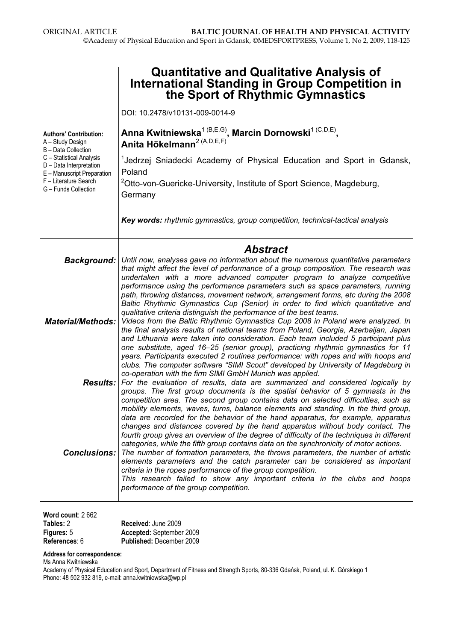|                                                                                                                                                                                                                | <b>Quantitative and Qualitative Analysis of</b><br><b>International Standing in Group Competition in</b><br>the Sport of Rhythmic Gymnastics                                                                                                                                                                                                                                                                                                                                                                                                                                                                                                                                                                                                                                                                                                                                                   |  |  |  |  |  |
|----------------------------------------------------------------------------------------------------------------------------------------------------------------------------------------------------------------|------------------------------------------------------------------------------------------------------------------------------------------------------------------------------------------------------------------------------------------------------------------------------------------------------------------------------------------------------------------------------------------------------------------------------------------------------------------------------------------------------------------------------------------------------------------------------------------------------------------------------------------------------------------------------------------------------------------------------------------------------------------------------------------------------------------------------------------------------------------------------------------------|--|--|--|--|--|
|                                                                                                                                                                                                                | DOI: 10.2478/v10131-009-0014-9                                                                                                                                                                                                                                                                                                                                                                                                                                                                                                                                                                                                                                                                                                                                                                                                                                                                 |  |  |  |  |  |
| <b>Authors' Contribution:</b><br>A - Study Design<br>B - Data Collection<br>C - Statistical Analysis<br>D - Data Interpretation<br>E - Manuscript Preparation<br>F - Literature Search<br>G - Funds Collection | Anna Kwitniewska <sup>1 (B,E,G)</sup> , Marcin Dornowski <sup>1 (C,D,E)</sup> ,<br>Anita Hökelmann <sup>2 (A,D,E,F)</sup>                                                                                                                                                                                                                                                                                                                                                                                                                                                                                                                                                                                                                                                                                                                                                                      |  |  |  |  |  |
|                                                                                                                                                                                                                | <sup>1</sup> Jedrzej Sniadecki Academy of Physical Education and Sport in Gdansk,<br>Poland                                                                                                                                                                                                                                                                                                                                                                                                                                                                                                                                                                                                                                                                                                                                                                                                    |  |  |  |  |  |
|                                                                                                                                                                                                                | <sup>2</sup> Otto-von-Guericke-University, Institute of Sport Science, Magdeburg,<br>Germany                                                                                                                                                                                                                                                                                                                                                                                                                                                                                                                                                                                                                                                                                                                                                                                                   |  |  |  |  |  |
|                                                                                                                                                                                                                | Key words: rhythmic gymnastics, group competition, technical-tactical analysis                                                                                                                                                                                                                                                                                                                                                                                                                                                                                                                                                                                                                                                                                                                                                                                                                 |  |  |  |  |  |
|                                                                                                                                                                                                                | <b>Abstract</b>                                                                                                                                                                                                                                                                                                                                                                                                                                                                                                                                                                                                                                                                                                                                                                                                                                                                                |  |  |  |  |  |
|                                                                                                                                                                                                                | Background:   Until now, analyses gave no information about the numerous quantitative parameters<br>that might affect the level of performance of a group composition. The research was<br>undertaken with a more advanced computer program to analyze competitive<br>performance using the performance parameters such as space parameters, running                                                                                                                                                                                                                                                                                                                                                                                                                                                                                                                                           |  |  |  |  |  |
| <b>Material/Methods:</b>                                                                                                                                                                                       | path, throwing distances, movement network, arrangement forms, etc during the 2008<br>Baltic Rhythmic Gymnastics Cup (Senior) in order to find which quantitative and<br>qualitative criteria distinguish the performance of the best teams.<br>Videos from the Baltic Rhythmic Gymnastics Cup 2008 in Poland were analyzed. In<br>the final analysis results of national teams from Poland, Georgia, Azerbaijan, Japan<br>and Lithuania were taken into consideration. Each team included 5 participant plus<br>one substitute, aged 16-25 (senior group), practicing rhythmic gymnastics for 11<br>years. Participants executed 2 routines performance: with ropes and with hoops and<br>clubs. The computer software "SIMI Scout" developed by University of Magdeburg in                                                                                                                   |  |  |  |  |  |
|                                                                                                                                                                                                                | co-operation with the firm SIMI GmbH Munich was applied.<br><b>Results:</b> For the evaluation of results, data are summarized and considered logically by<br>groups. The first group documents is the spatial behavior of 5 gymnasts in the                                                                                                                                                                                                                                                                                                                                                                                                                                                                                                                                                                                                                                                   |  |  |  |  |  |
| <b>Conclusions:</b>                                                                                                                                                                                            | competition area. The second group contains data on selected difficulties, such as<br>mobility elements, waves, turns, balance elements and standing. In the third group,<br>data are recorded for the behavior of the hand apparatus, for example, apparatus<br>changes and distances covered by the hand apparatus without body contact. The<br>fourth group gives an overview of the degree of difficulty of the techniques in different<br>categories, while the fifth group contains data on the synchronicity of motor actions.<br>The number of formation parameters, the throws parameters, the number of artistic<br>elements parameters and the catch parameter can be considered as important<br>criteria in the ropes performance of the group competition.<br>This research failed to show any important criteria in the clubs and hoops<br>performance of the group competition. |  |  |  |  |  |

| Word count: $2662$ |
|--------------------|
| Tables: 2          |
| Figures: 5         |
| References: 6      |

Received: June 2009 Accepted: September 2009 Published: December 2009

Address for correspondence:

Ms Anna Kwitniewska

Academy of Physical Education and Sport, Department of Fitness and Strength Sports, 80-336 Gdańsk, Poland, ul. K. Górskiego 1 Phone: 48 502 932 819, e-mail: anna.kwitniewska@wp.pl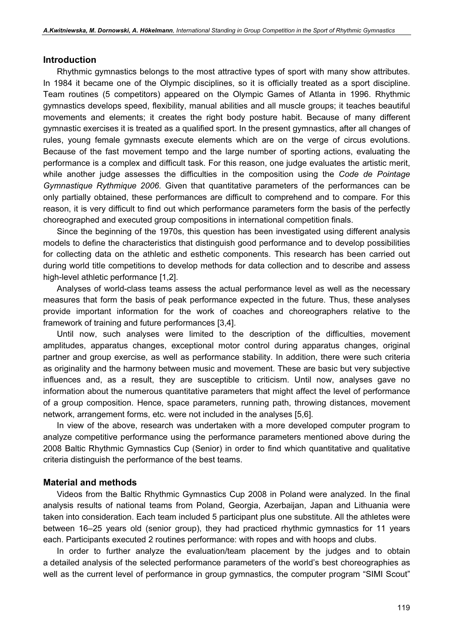#### Introduction

Rhythmic gymnastics belongs to the most attractive types of sport with many show attributes. In 1984 it became one of the Olympic disciplines, so it is officially treated as a sport discipline. Team routines (5 competitors) appeared on the Olympic Games of Atlanta in 1996. Rhythmic gymnastics develops speed, flexibility, manual abilities and all muscle groups; it teaches beautiful movements and elements; it creates the right body posture habit. Because of many different gymnastic exercises it is treated as a qualified sport. In the present gymnastics, after all changes of rules, young female gymnasts execute elements which are on the verge of circus evolutions. Because of the fast movement tempo and the large number of sporting actions, evaluating the performance is a complex and difficult task. For this reason, one judge evaluates the artistic merit, while another judge assesses the difficulties in the composition using the Code de Pointage Gymnastique Rythmique 2006. Given that quantitative parameters of the performances can be only partially obtained, these performances are difficult to comprehend and to compare. For this reason, it is very difficult to find out which performance parameters form the basis of the perfectly choreographed and executed group compositions in international competition finals.

Since the beginning of the 1970s, this question has been investigated using different analysis models to define the characteristics that distinguish good performance and to develop possibilities for collecting data on the athletic and esthetic components. This research has been carried out during world title competitions to develop methods for data collection and to describe and assess high-level athletic performance [1,2].

Analyses of world-class teams assess the actual performance level as well as the necessary measures that form the basis of peak performance expected in the future. Thus, these analyses provide important information for the work of coaches and choreographers relative to the framework of training and future performances [3,4].

Until now, such analyses were limited to the description of the difficulties, movement amplitudes, apparatus changes, exceptional motor control during apparatus changes, original partner and group exercise, as well as performance stability. In addition, there were such criteria as originality and the harmony between music and movement. These are basic but very subjective influences and, as a result, they are susceptible to criticism. Until now, analyses gave no information about the numerous quantitative parameters that might affect the level of performance of a group composition. Hence, space parameters, running path, throwing distances, movement network, arrangement forms, etc. were not included in the analyses [5,6].

In view of the above, research was undertaken with a more developed computer program to analyze competitive performance using the performance parameters mentioned above during the 2008 Baltic Rhythmic Gymnastics Cup (Senior) in order to find which quantitative and qualitative criteria distinguish the performance of the best teams.

#### Material and methods

Videos from the Baltic Rhythmic Gymnastics Cup 2008 in Poland were analyzed. In the final analysis results of national teams from Poland, Georgia, Azerbaijan, Japan and Lithuania were taken into consideration. Each team included 5 participant plus one substitute. All the athletes were between 16–25 years old (senior group), they had practiced rhythmic gymnastics for 11 years each. Participants executed 2 routines performance: with ropes and with hoops and clubs.

In order to further analyze the evaluation/team placement by the judges and to obtain a detailed analysis of the selected performance parameters of the world's best choreographies as well as the current level of performance in group gymnastics, the computer program "SIMI Scout"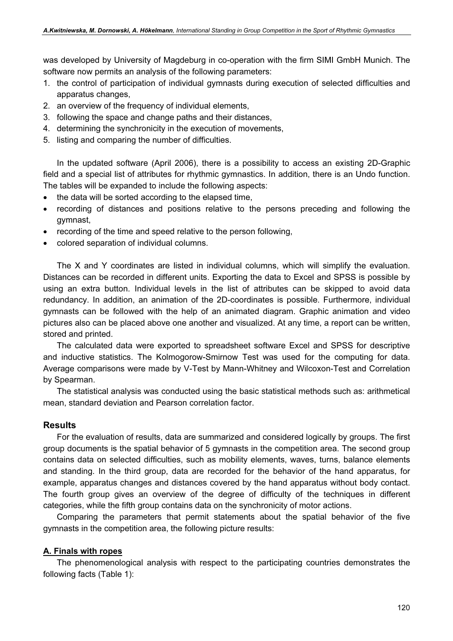was developed by University of Magdeburg in co-operation with the firm SIMI GmbH Munich. The software now permits an analysis of the following parameters:

- 1. the control of participation of individual gymnasts during execution of selected difficulties and apparatus changes,
- 2. an overview of the frequency of individual elements,
- 3. following the space and change paths and their distances,
- 4. determining the synchronicity in the execution of movements,
- 5. listing and comparing the number of difficulties.

In the updated software (April 2006), there is a possibility to access an existing 2D-Graphic field and a special list of attributes for rhythmic gymnastics. In addition, there is an Undo function. The tables will be expanded to include the following aspects:

- the data will be sorted according to the elapsed time,
- recording of distances and positions relative to the persons preceding and following the gymnast,
- recording of the time and speed relative to the person following,
- colored separation of individual columns.

The X and Y coordinates are listed in individual columns, which will simplify the evaluation. Distances can be recorded in different units. Exporting the data to Excel and SPSS is possible by using an extra button. Individual levels in the list of attributes can be skipped to avoid data redundancy. In addition, an animation of the 2D-coordinates is possible. Furthermore, individual gymnasts can be followed with the help of an animated diagram. Graphic animation and video pictures also can be placed above one another and visualized. At any time, a report can be written, stored and printed.

The calculated data were exported to spreadsheet software Excel and SPSS for descriptive and inductive statistics. The Kolmogorow-Smirnow Test was used for the computing for data. Average comparisons were made by V-Test by Mann-Whitney and Wilcoxon-Test and Correlation by Spearman.

The statistical analysis was conducted using the basic statistical methods such as: arithmetical mean, standard deviation and Pearson correlation factor.

#### Results

For the evaluation of results, data are summarized and considered logically by groups. The first group documents is the spatial behavior of 5 gymnasts in the competition area. The second group contains data on selected difficulties, such as mobility elements, waves, turns, balance elements and standing. In the third group, data are recorded for the behavior of the hand apparatus, for example, apparatus changes and distances covered by the hand apparatus without body contact. The fourth group gives an overview of the degree of difficulty of the techniques in different categories, while the fifth group contains data on the synchronicity of motor actions.

Comparing the parameters that permit statements about the spatial behavior of the five gymnasts in the competition area, the following picture results:

#### A. Finals with ropes

The phenomenological analysis with respect to the participating countries demonstrates the following facts (Table 1):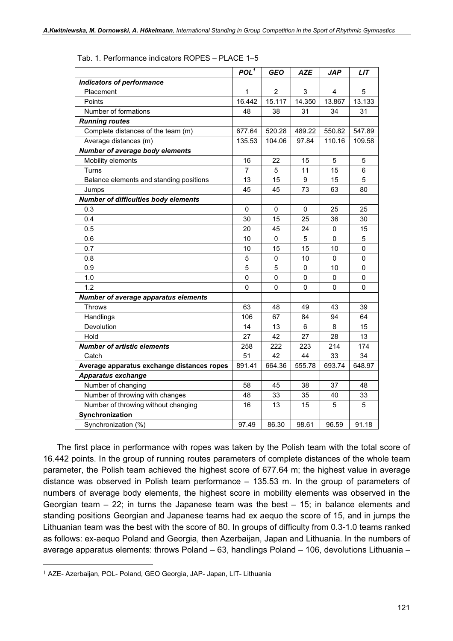|                                             | POL <sup>1</sup> | <b>GEO</b>     | <b>AZE</b> | <b>JAP</b> | <b>LIT</b> |
|---------------------------------------------|------------------|----------------|------------|------------|------------|
| <b>Indicators of performance</b>            |                  |                |            |            |            |
| Placement                                   | 1                | $\overline{2}$ | 3          | 4          | 5          |
| Points                                      | 16.442           | 15.117         | 14.350     | 13.867     | 13.133     |
| Number of formations                        | 48               | 38             | 31         | 34         | 31         |
| <b>Running routes</b>                       |                  |                |            |            |            |
| Complete distances of the team (m)          | 677.64           | 520.28         | 489.22     | 550.82     | 547.89     |
| Average distances (m)                       | 135.53           | 104.06         | 97.84      | 110.16     | 109.58     |
| Number of average body elements             |                  |                |            |            |            |
| Mobility elements                           | 16               | 22             | 15         | 5          | 5          |
| Turns                                       | $\overline{7}$   | 5              | 11         | 15         | 6          |
| Balance elements and standing positions     | 13               | 15             | 9          | 15         | 5          |
| Jumps                                       | 45               | 45             | 73         | 63         | 80         |
| Number of difficulties body elements        |                  |                |            |            |            |
| 0.3                                         | 0                | 0              | 0          | 25         | 25         |
| 0.4                                         | 30               | 15             | 25         | 36         | 30         |
| 0.5                                         | 20               | 45             | 24         | 0          | 15         |
| 0.6                                         | 10               | 0              | 5          | 0          | 5          |
| 0.7                                         | 10               | 15             | 15         | 10         | 0          |
| 0.8                                         | 5                | $\mathbf{0}$   | 10         | 0          | 0          |
| 0.9                                         | 5                | 5              | 0          | 10         | 0          |
| 1.0                                         | 0                | 0              | 0          | 0          | 0          |
| 1.2                                         | $\Omega$         | $\Omega$       | $\Omega$   | $\Omega$   | $\Omega$   |
| <b>Number of average apparatus elements</b> |                  |                |            |            |            |
| <b>Throws</b>                               | 63               | 48             | 49         | 43         | 39         |
| Handlings                                   | 106              | 67             | 84         | 94         | 64         |
| Devolution                                  | 14               | 13             | 6          | 8          | 15         |
| Hold                                        | 27               | 42             | 27         | 28         | 13         |
| <b>Number of artistic elements</b>          | 258              | 222            | 223        | 214        | 174        |
| Catch                                       | 51               | 42             | 44         | 33         | 34         |
| Average apparatus exchange distances ropes  | 891.41           | 664.36         | 555.78     | 693.74     | 648.97     |
| <b>Apparatus exchange</b>                   |                  |                |            |            |            |
| Number of changing                          | 58               | 45             | 38         | 37         | 48         |
| Number of throwing with changes             | 48               | 33             | 35         | 40         | 33         |
| Number of throwing without changing         | 16               | 13             | 15         | 5          | 5          |
| Synchronization                             |                  |                |            |            |            |
| Synchronization (%)                         | 97.49            | 86.30          | 98.61      | 96.59      | 91.18      |

Tab. 1. Performance indicators ROPES – PLACE 1–5

The first place in performance with ropes was taken by the Polish team with the total score of 16.442 points. In the group of running routes parameters of complete distances of the whole team parameter, the Polish team achieved the highest score of 677.64 m; the highest value in average distance was observed in Polish team performance – 135.53 m. In the group of parameters of numbers of average body elements, the highest score in mobility elements was observed in the Georgian team  $-22$ ; in turns the Japanese team was the best  $-15$ ; in balance elements and standing positions Georgian and Japanese teams had ex aequo the score of 15, and in jumps the Lithuanian team was the best with the score of 80. In groups of difficulty from 0.3-1.0 teams ranked as follows: ex-aequo Poland and Georgia, then Azerbaijan, Japan and Lithuania. In the numbers of average apparatus elements: throws Poland – 63, handlings Poland – 106, devolutions Lithuania –

<sup>1</sup> AZE- Azerbaijan, POL- Poland, GEO Georgia, JAP- Japan, LIT- Lithuania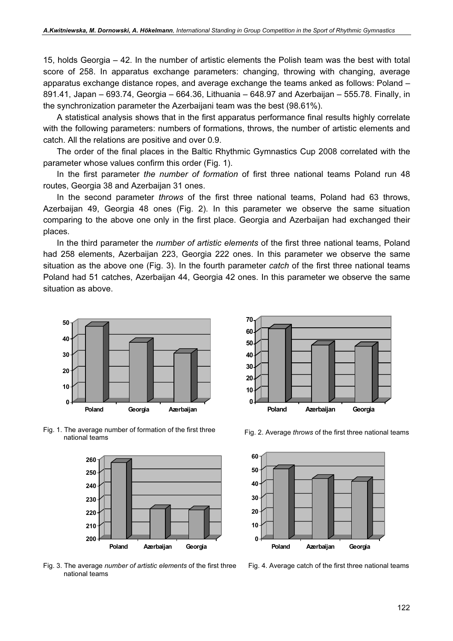15, holds Georgia – 42. In the number of artistic elements the Polish team was the best with total score of 258. In apparatus exchange parameters: changing, throwing with changing, average apparatus exchange distance ropes, and average exchange the teams anked as follows: Poland – 891.41, Japan – 693.74, Georgia – 664.36, Lithuania – 648.97 and Azerbaijan – 555.78. Finally, in the synchronization parameter the Azerbaijani team was the best (98.61%).

A statistical analysis shows that in the first apparatus performance final results highly correlate with the following parameters: numbers of formations, throws, the number of artistic elements and catch. All the relations are positive and over 0.9.

The order of the final places in the Baltic Rhythmic Gymnastics Cup 2008 correlated with the parameter whose values confirm this order (Fig. 1).

In the first parameter the number of formation of first three national teams Poland run 48 routes, Georgia 38 and Azerbaijan 31 ones.

In the second parameter *throws* of the first three national teams, Poland had 63 throws, Azerbaijan 49, Georgia 48 ones (Fig. 2). In this parameter we observe the same situation comparing to the above one only in the first place. Georgia and Azerbaijan had exchanged their places.

In the third parameter the *number of artistic elements* of the first three national teams, Poland had 258 elements, Azerbaijan 223, Georgia 222 ones. In this parameter we observe the same situation as the above one (Fig. 3). In the fourth parameter *catch* of the first three national teams Poland had 51 catches, Azerbaijan 44, Georgia 42 ones. In this parameter we observe the same situation as above.





Fig. 1. The average number of formation of the first three The average number of formation of the first three<br>
Fig. 2. Average throws of the first three national teams<br>
national teams



Fig. 3. The average number of artistic elements of the first three national teams



Fig. 4. Average catch of the first three national teams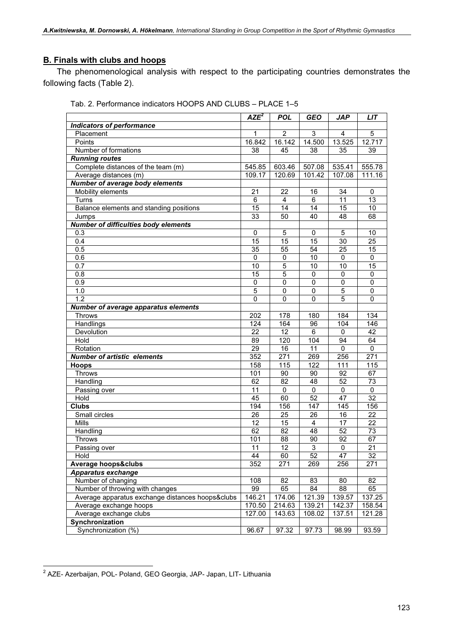### B. Finals with clubs and hoops

The phenomenological analysis with respect to the participating countries demonstrates the following facts (Table 2).

|                                             | $\overline{AZE}^2$ | <b>POL</b>     | <b>GEO</b>      | <b>JAP</b>   | <b>LIT</b>      |
|---------------------------------------------|--------------------|----------------|-----------------|--------------|-----------------|
| <b>Indicators of performance</b>            |                    |                |                 |              |                 |
| Placement                                   | 1                  | $\overline{2}$ | 3               | 4            | 5               |
| Points                                      | 16.842             | 16.142         | 14.500          | 13.525       | 12.717          |
| Number of formations                        | 38                 | 45             | 38              | 35           | 39              |
| <b>Running routes</b>                       |                    |                |                 |              |                 |
| Complete distances of the team (m)          | 545.85             | 603.46         | 507.08          | 535.41       | 555.78          |
| Average distances (m)                       | 109.17             | 120.69         | 101.42          | 107.08       | 111.16          |
| <b>Number of average body elements</b>      |                    |                |                 |              |                 |
| Mobility elements                           | 21                 | 22             | 16              | 34           | 0               |
| Turns                                       | 6                  | $\overline{4}$ | 6               | 11           | $\overline{13}$ |
| Balance elements and standing positions     | 15                 | 14             | 14              | 15           | 10              |
| Jumps                                       | 33                 | 50             | 40              | 48           | 68              |
| <b>Number of difficulties body elements</b> |                    |                |                 |              |                 |
| 0.3                                         | $\mathbf 0$        | 5              | $\mathbf 0$     | 5            | 10              |
| 0.4                                         | 15                 | 15             | 15              | 30           | 25              |
| 0.5                                         | 35                 | 55             | $\overline{54}$ | 25           | 15              |
| 0.6                                         | 0                  | 0              | 10              | 0            | 0               |
| 0.7                                         | 10                 | 5              | 10              | 10           | 15              |
| 0.8                                         | $\overline{15}$    | $\overline{5}$ | $\mathbf 0$     | $\pmb{0}$    | $\pmb{0}$       |
| 0.9                                         | $\mathbf 0$        | 0              | 0               | $\mathbf{0}$ | $\mathbf 0$     |
| 1.0                                         | 5                  | $\overline{0}$ | $\pmb{0}$       | 5            | $\pmb{0}$       |
| 1.2                                         | 0                  | 0              | 0               | 5            | $\mathbf 0$     |
| <b>Number of average apparatus elements</b> |                    |                |                 |              |                 |
| <b>Throws</b>                               | 202                | 178            | 180             | 184          | 134             |
| Handlings                                   | 124                | 164            | 96              | 104          | 146             |
| Devolution                                  | 22                 | 12             | 6               | 0            | 42              |
| Hold                                        | 89                 | 120            | 104             | 94           | 64              |
| Rotation                                    | 29                 | 16             | 11              | 0            | 0               |
| <b>Number of artistic elements</b>          | 352                | 271            | 269             | 256          | 271             |
| <b>Hoops</b>                                | 158                | 115            | 122             | 111          | 115             |
| <b>Throws</b>                               | 101                | 90             | 90              | 92           | 67              |
| Handling                                    | 62                 | 82             | 48              | 52           | 73              |
| Passing over                                | 11                 | 0              | 0               | 0            | 0               |
| Hold                                        | 45                 | 60             | 52              | 47           | 32              |
| <b>Clubs</b>                                | 194                | 156            | 147             | 145          | 156             |
| Small circles                               | 26                 | 25             | 26              | 16           | 22              |
| <b>Mills</b>                                | 12                 | 15             | $\overline{4}$  | 17           | 22              |
| Handling                                    | 62                 | 82             | 48              | 52           | 73              |
| <b>Throws</b>                               | 101                | 88             | 90              | 92           | 67              |
| Passing over                                | $\overline{11}$    | 12             | $\overline{3}$  | $\pmb{0}$    | $\overline{21}$ |
| Hold                                        | 44                 | 60             | 52              | 47           | 32              |
| <b>Average hoops♣</b>                       | 352                | 271            | 269             | 256          | 271             |
| Apparatus exchange                          |                    |                |                 |              |                 |
| Number of changing                          | 108<br>99          | 82             | 83              | 80           | 82              |
| Number of throwing with changes             |                    | 65             | 84              | 88           | 65              |
| Average apparatus exchange distances hoops♣ | 146.21             | 174.06         | 121.39          | 139.57       | 137.25          |
| Average exchange hoops                      | 170.50             | 214.63         | 139.21          | 142.37       | 158.54          |
| Average exchange clubs                      | 127.00             | 143.63         | 108.02          | 137.51       | 121.28          |
| Synchronization                             |                    |                |                 |              |                 |
| Synchronization (%)                         | 96.67              | 97.32          | 97.73           | 98.99        | 93.59           |

Tab. 2. Performance indicators HOOPS AND CLUBS – PLACE 1–5

<sup>&</sup>lt;sup>2</sup> AZE- Azerbaijan, POL- Poland, GEO Georgia, JAP- Japan, LIT- Lithuania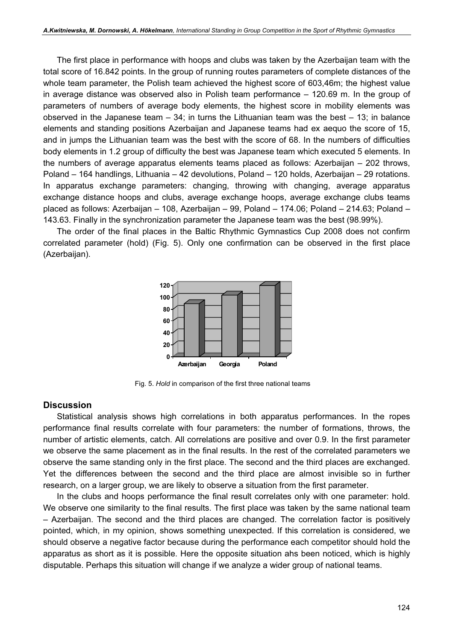The first place in performance with hoops and clubs was taken by the Azerbaijan team with the total score of 16.842 points. In the group of running routes parameters of complete distances of the whole team parameter, the Polish team achieved the highest score of 603,46m; the highest value in average distance was observed also in Polish team performance – 120.69 m. In the group of parameters of numbers of average body elements, the highest score in mobility elements was observed in the Japanese team  $-34$ ; in turns the Lithuanian team was the best  $-13$ ; in balance elements and standing positions Azerbaijan and Japanese teams had ex aequo the score of 15, and in jumps the Lithuanian team was the best with the score of 68. In the numbers of difficulties body elements in 1.2 group of difficulty the best was Japanese team which executed 5 elements. In the numbers of average apparatus elements teams placed as follows: Azerbaijan – 202 throws, Poland – 164 handlings, Lithuania – 42 devolutions, Poland – 120 holds, Azerbaijan – 29 rotations. In apparatus exchange parameters: changing, throwing with changing, average apparatus exchange distance hoops and clubs, average exchange hoops, average exchange clubs teams placed as follows: Azerbaijan – 108, Azerbaijan – 99, Poland – 174.06; Poland – 214.63; Poland – 143.63. Finally in the synchronization parameter the Japanese team was the best (98.99%).

The order of the final places in the Baltic Rhythmic Gymnastics Cup 2008 does not confirm correlated parameter (hold) (Fig. 5). Only one confirmation can be observed in the first place (Azerbaijan).



Fig. 5. Hold in comparison of the first three national teams

#### **Discussion**

Statistical analysis shows high correlations in both apparatus performances. In the ropes performance final results correlate with four parameters: the number of formations, throws, the number of artistic elements, catch. All correlations are positive and over 0.9. In the first parameter we observe the same placement as in the final results. In the rest of the correlated parameters we observe the same standing only in the first place. The second and the third places are exchanged. Yet the differences between the second and the third place are almost invisible so in further research, on a larger group, we are likely to observe a situation from the first parameter.

In the clubs and hoops performance the final result correlates only with one parameter: hold. We observe one similarity to the final results. The first place was taken by the same national team – Azerbaijan. The second and the third places are changed. The correlation factor is positively pointed, which, in my opinion, shows something unexpected. If this correlation is considered, we should observe a negative factor because during the performance each competitor should hold the apparatus as short as it is possible. Here the opposite situation ahs been noticed, which is highly disputable. Perhaps this situation will change if we analyze a wider group of national teams.